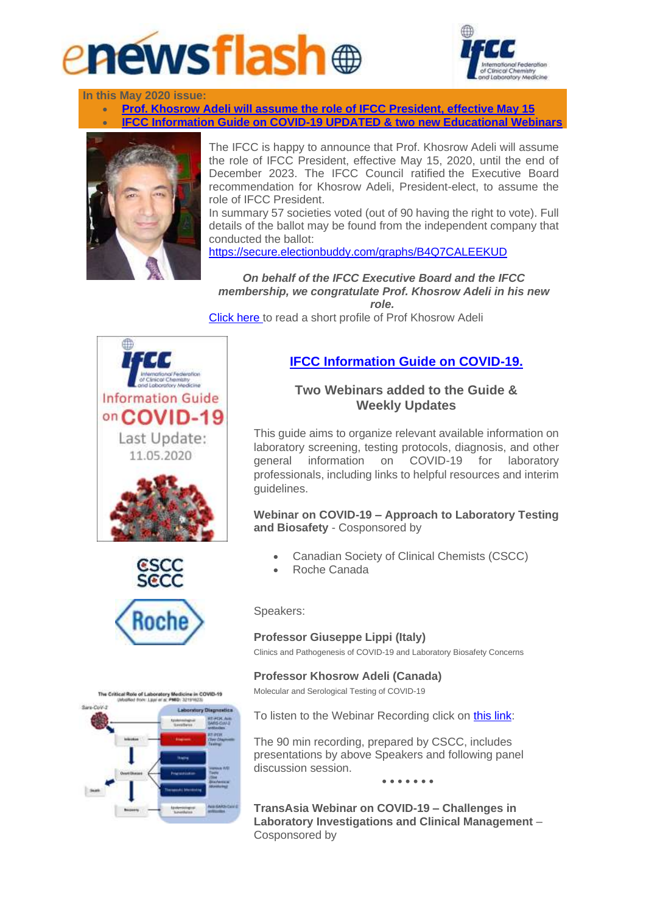



**In this May 2020 issue:**

• **[Prof. Khosrow Adeli will assume the role of IFCC President, effective May 15](http://ifcc.musvc2.net/e/t?q=0%3dKbQgN%26F%3dJ%26K%3dEUPb%263%3dUL%26R%3dvNCM7_Ljzd_Wt_Oewi_Yt_Ljzd_VyTAQ.2Cq7.8Ou_Ljzd_VyBB9vR8CEB-pItOr-57A-qIDKqC5_Oewi_Yt9GBqOCF8o5t09-uLoLw_Oewi_YtJALt-E1L7L8T-o8xIw-Cy0q-JAB7CwB2N_Axgt_KC%26r%3dGDP07K.KsN%262P%3dFWLg) IFCC Information Guide on COVID-19 UPDATED & two new Educational Webin** 



The IFCC is happy to announce that Prof. Khosrow Adeli will assume the role of IFCC President, effective May 15, 2020, until the end of December 2023. The IFCC Council ratified the Executive Board recommendation for Khosrow Adeli, President-elect, to assume the role of IFCC President.

In summary 57 societies voted (out of 90 having the right to vote). Full details of the ballot may be found from the independent company that conducted the ballot:

<https://secure.electionbuddy.com/graphs/B4Q7CALEEKUD>

*On behalf of the IFCC Executive Board and the IFCC membership, we congratulate Prof. Khosrow Adeli in his new role.*

[Click here t](http://ifcc.musvc2.net/e/t?q=5%3dDdObG%26H%3dH%26F%3d8WNW%26v%3dWJ%26M%3doPAHz_NhuW_Yr_JXyg_Tm_NhuW_XwO4S.z8j9.6Jn_NhuW_Xw75AtM1EC7-iKrJk-756-jKBFjE3_JXyg_TmAE7jQAA3h7r3A-sGhNu_JXyg_TmL9Gm-GyGzN6O-h0vDp-Ew5j-L97zEu7uP_9sZv_I8%26k%3dIBK39I.FlP%26zK%3d9YJb)o read a short profile of Prof Khosrow Adeli









## **[IFCC Information Guide on COVID-19.](http://ifcc.musvc2.net/e/t?q=3%3dQdPZT%26H%3dI%26D%3dKWOU%269%3dWK%26K%3d2PBFC_Nisj_Ys_Hkyh_Rz_Nisj_XxMGS.16w9.7H1_Nisj_Xx9z9u-DySA_Hkyh_RzXRRT-fK-RP-Ex3w-E669N51DE1u7s7D-1Q14y-K6-39R14-Ke_0qmv_J6%26x%3dICIF9J.DyP%261I%3dLYKZ)**

## **Two Webinars added to the Guide & Weekly Updates**

This guide aims to organize relevant available information on laboratory screening, testing protocols, diagnosis, and other general information on COVID-19 for laboratory professionals, including links to helpful resources and interim guidelines.

**Webinar on COVID-19 – Approach to Laboratory Testing and Biosafety** - Cosponsored by

- Canadian Society of Clinical Chemists (CSCC)
- Roche Canada

Speakers:

## **Professor Giuseppe Lippi (Italy)**

Clinics and Pathogenesis of COVID-19 and Laboratory Biosafety Concerns

## **Professor Khosrow Adeli (Canada)**

Molecular and Serological Testing of COVID-19

To listen to the Webinar Recording click on [this link:](http://ifcc.musvc2.net/e/t?q=6%3d0fRcC%26J%3dK%26G%3d4YQX%26r%3dYM%26N%3dkRDIv_PkvS_au_KT1j_Ui_PkvS_ZzPzU.IHxRE5h.A9F_uyms_5DG4wA2_KT1j_ViT_BtVx_M7cYaf0CMg64R_KT1j_4d9uU9Dy4wSB8_uyms_6BIHxRE.5h%26B%3d7NvTwU.qCD%26Bv%3dZMVC)

The 90 min recording, prepared by CSCC, includes presentations by above Speakers and following panel discussion session.

**• • • • • • •**

**TransAsia Webinar on COVID-19 – Challenges in Laboratory Investigations and Clinical Management** – Cosponsored by